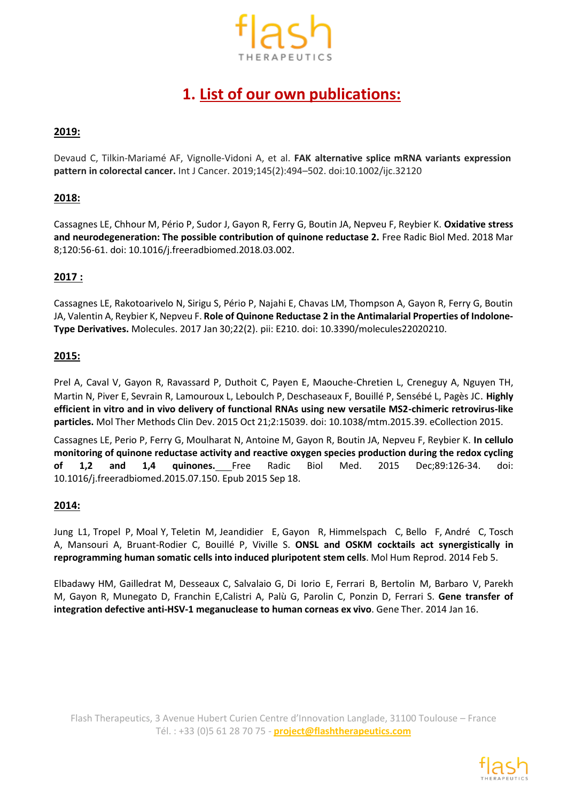

# **1. List of our own publications:**

# **2019:**

Devaud C, Tilkin-Mariamé AF, Vignolle-Vidoni A, et al. **FAK alternative splice mRNA variants expression pattern in colorectal cancer.** Int J Cancer. 2019;145(2):494–502. doi:10.1002/ijc.32120

#### **2018:**

Cassagnes LE, Chhour M, Pério P, Sudor J, Gayon R, Ferry G, Boutin JA, Nepveu F, Reybier K. **Oxidative stress and neurodegeneration: The possible contribution of quinone reductase 2.** Free Radic Biol Med. 2018 Mar 8;120:56-61. doi: 10.1016/j.freeradbiomed.2018.03.002.

#### **2017 :**

Cassagnes LE, Rakotoarivelo N, Sirigu S, Pério P, Najahi E, Chavas LM, Thompson A, Gayon R, Ferry G, Boutin JA, Valentin A, Reybier K, Nepveu F. **Role of Quinone Reductase 2 in the Antimalarial Properties of Indolone-Type Derivatives.** Molecules. 2017 Jan 30;22(2). pii: E210. doi: 10.3390/molecules22020210.

#### **2015:**

Prel A, Caval V, Gayon R, Ravassard P, Duthoit C, Payen E, Maouche-Chretien L, Creneguy A, Nguyen TH, Martin N, Piver E, Sevrain R, Lamouroux L, Leboulch P, Deschaseaux F, Bouillé P, Sensébé L, Pagès JC. **Highly efficient in vitro and in vivo delivery of functional RNAs using new versatile MS2-chimeric retrovirus-like particles.** Mol Ther Methods Clin Dev. 2015 Oct 21;2:15039. doi: 10.1038/mtm.2015.39. eCollection 2015.

Cassagnes LE, Perio P, Ferry G, Moulharat N, Antoine M, Gayon R, Boutin JA, Nepveu F, Reybier K. **In cellulo monitoring of quinone reductase activity and reactive oxygen species production during the redox cycling of 1,2 and 1,4 quinones.** Free Radic Biol Med. 2015 Dec;89:126-34. doi: 10.1016/j.freeradbiomed.2015.07.150. Epub 2015 Sep 18.

#### **2014:**

[Jung](http://www.ncbi.nlm.nih.gov/pubmed?term=Jung%20L%5BAuthor%5D&cauthor=true&cauthor_uid=24501429) L1, [Tropel](http://www.ncbi.nlm.nih.gov/pubmed?term=Tropel%20P%5BAuthor%5D&cauthor=true&cauthor_uid=24501429) P[, Moal Y,](http://www.ncbi.nlm.nih.gov/pubmed?term=Moal%20Y%5BAuthor%5D&cauthor=true&cauthor_uid=24501429) [Teletin](http://www.ncbi.nlm.nih.gov/pubmed?term=Teletin%20M%5BAuthor%5D&cauthor=true&cauthor_uid=24501429) M, [Jeandidier E,](http://www.ncbi.nlm.nih.gov/pubmed?term=Jeandidier%20E%5BAuthor%5D&cauthor=true&cauthor_uid=24501429) [Gayon R,](http://www.ncbi.nlm.nih.gov/pubmed?term=Gayon%20R%5BAuthor%5D&cauthor=true&cauthor_uid=24501429) [Himmelspach C,](http://www.ncbi.nlm.nih.gov/pubmed?term=Himmelspach%20C%5BAuthor%5D&cauthor=true&cauthor_uid=24501429) [Bello F,](http://www.ncbi.nlm.nih.gov/pubmed?term=Bello%20F%5BAuthor%5D&cauthor=true&cauthor_uid=24501429) [André C,](http://www.ncbi.nlm.nih.gov/pubmed?term=Andr%C3%A9%20C%5BAuthor%5D&cauthor=true&cauthor_uid=24501429) [Tosch](http://www.ncbi.nlm.nih.gov/pubmed?term=Tosch%20A%5BAuthor%5D&cauthor=true&cauthor_uid=24501429) [A,](http://www.ncbi.nlm.nih.gov/pubmed?term=Tosch%20A%5BAuthor%5D&cauthor=true&cauthor_uid=24501429) [Mansouri](http://www.ncbi.nlm.nih.gov/pubmed?term=Mansouri%20A%5BAuthor%5D&cauthor=true&cauthor_uid=24501429) A, [Bruant-Rodier](http://www.ncbi.nlm.nih.gov/pubmed?term=Bruant-Rodier%20C%5BAuthor%5D&cauthor=true&cauthor_uid=24501429) C, [Bouillé](http://www.ncbi.nlm.nih.gov/pubmed?term=Bouill%C3%A9%20P%5BAuthor%5D&cauthor=true&cauthor_uid=24501429) P, [Viville](http://www.ncbi.nlm.nih.gov/pubmed?term=Viville%20S%5BAuthor%5D&cauthor=true&cauthor_uid=24501429) S. **ONSL and OSKM cocktails act synergistically in reprogramming human somatic cells into induced pluripotent stem cells**. Mol Hum [Reprod.](http://www.ncbi.nlm.nih.gov/pubmed/24501429) 2014 Feb 5.

[Elbadawy](http://www.ncbi.nlm.nih.gov/pubmed?term=Elbadawy%20HM%5BAuthor%5D&cauthor=true&cauthor_uid=24430237) HM, [Gailledrat M,](http://www.ncbi.nlm.nih.gov/pubmed?term=Gailledrat%20M%5BAuthor%5D&cauthor=true&cauthor_uid=24430237) [Desseaux](http://www.ncbi.nlm.nih.gov/pubmed?term=Desseaux%20C%5BAuthor%5D&cauthor=true&cauthor_uid=24430237) C, [Salvalaio G, D](http://www.ncbi.nlm.nih.gov/pubmed?term=Salvalaio%20G%5BAuthor%5D&cauthor=true&cauthor_uid=24430237)i [Iorio](http://www.ncbi.nlm.nih.gov/pubmed?term=Di%20Iorio%20E%5BAuthor%5D&cauthor=true&cauthor_uid=24430237) E, [Ferrari](http://www.ncbi.nlm.nih.gov/pubmed?term=Ferrari%20B%5BAuthor%5D&cauthor=true&cauthor_uid=24430237) B, [Bertolin](http://www.ncbi.nlm.nih.gov/pubmed?term=Bertolin%20M%5BAuthor%5D&cauthor=true&cauthor_uid=24430237) M[, Barbaro](http://www.ncbi.nlm.nih.gov/pubmed?term=Barbaro%20V%5BAuthor%5D&cauthor=true&cauthor_uid=24430237) V, [Parekh](http://www.ncbi.nlm.nih.gov/pubmed?term=Parekh%20M%5BAuthor%5D&cauthor=true&cauthor_uid=24430237) [M,](http://www.ncbi.nlm.nih.gov/pubmed?term=Parekh%20M%5BAuthor%5D&cauthor=true&cauthor_uid=24430237) [Gayon](http://www.ncbi.nlm.nih.gov/pubmed?term=Gayon%20R%5BAuthor%5D&cauthor=true&cauthor_uid=24430237) R, [Munegato](http://www.ncbi.nlm.nih.gov/pubmed?term=Munegato%20D%5BAuthor%5D&cauthor=true&cauthor_uid=24430237) D, [Franchin](http://www.ncbi.nlm.nih.gov/pubmed?term=Franchin%20E%5BAuthor%5D&cauthor=true&cauthor_uid=24430237) [E,Calistri](http://www.ncbi.nlm.nih.gov/pubmed?term=Calistri%20A%5BAuthor%5D&cauthor=true&cauthor_uid=24430237) A, [Palù](http://www.ncbi.nlm.nih.gov/pubmed?term=Pal%C3%B9%20G%5BAuthor%5D&cauthor=true&cauthor_uid=24430237) G, [Parolin](http://www.ncbi.nlm.nih.gov/pubmed?term=Parolin%20C%5BAuthor%5D&cauthor=true&cauthor_uid=24430237) C, [Ponzin](http://www.ncbi.nlm.nih.gov/pubmed?term=Ponzin%20D%5BAuthor%5D&cauthor=true&cauthor_uid=24430237) D, [Ferrari](http://www.ncbi.nlm.nih.gov/pubmed?term=Ferrari%20S%5BAuthor%5D&cauthor=true&cauthor_uid=24430237) S. **Gene transfer of integration defective anti-HSV-1 meganuclease to human corneas ex vivo**. [Gene](http://www.ncbi.nlm.nih.gov/pubmed/24430237) Ther. 2014 Jan 16.

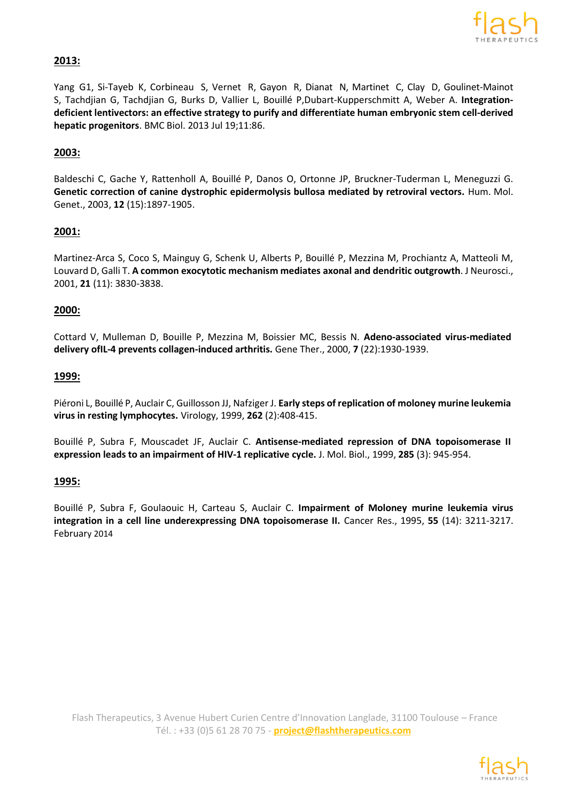

# **2013:**

[Yang](http://www.ncbi.nlm.nih.gov/pubmed?term=Yang%20G%5BAuthor%5D&cauthor=true&cauthor_uid=23870169) G1, [Si-Tayeb](http://www.ncbi.nlm.nih.gov/pubmed?term=Si-Tayeb%20K%5BAuthor%5D&cauthor=true&cauthor_uid=23870169) K, [Corbineau](http://www.ncbi.nlm.nih.gov/pubmed?term=Corbineau%20S%5BAuthor%5D&cauthor=true&cauthor_uid=23870169) S, [Vernet](http://www.ncbi.nlm.nih.gov/pubmed?term=Vernet%20R%5BAuthor%5D&cauthor=true&cauthor_uid=23870169) R[, Gayon](http://www.ncbi.nlm.nih.gov/pubmed?term=Gayon%20R%5BAuthor%5D&cauthor=true&cauthor_uid=23870169) R, [Dianat](http://www.ncbi.nlm.nih.gov/pubmed?term=Dianat%20N%5BAuthor%5D&cauthor=true&cauthor_uid=23870169) N[, Martinet](http://www.ncbi.nlm.nih.gov/pubmed?term=Martinet%20C%5BAuthor%5D&cauthor=true&cauthor_uid=23870169) C, [Clay](http://www.ncbi.nlm.nih.gov/pubmed?term=Clay%20D%5BAuthor%5D&cauthor=true&cauthor_uid=23870169) D, [Goulinet-Mainot](http://www.ncbi.nlm.nih.gov/pubmed?term=Goulinet-Mainot%20S%5BAuthor%5D&cauthor=true&cauthor_uid=23870169) [S,](http://www.ncbi.nlm.nih.gov/pubmed?term=Goulinet-Mainot%20S%5BAuthor%5D&cauthor=true&cauthor_uid=23870169) [Tachdjian](http://www.ncbi.nlm.nih.gov/pubmed?term=Tachdjian%20G%5BAuthor%5D&cauthor=true&cauthor_uid=23870169) G, [Tachdjian](http://www.ncbi.nlm.nih.gov/pubmed?term=Tachdjian%20G%5BAuthor%5D&cauthor=true&cauthor_uid=23870169) G, [Burks](http://www.ncbi.nlm.nih.gov/pubmed?term=Burks%20D%5BAuthor%5D&cauthor=true&cauthor_uid=23870169) D, [Vallier](http://www.ncbi.nlm.nih.gov/pubmed?term=Vallier%20L%5BAuthor%5D&cauthor=true&cauthor_uid=23870169) L, [Bouillé](http://www.ncbi.nlm.nih.gov/pubmed?term=Bouill%C3%A9%20P%5BAuthor%5D&cauthor=true&cauthor_uid=23870169) [P,Dubart-Kupperschmitt](http://www.ncbi.nlm.nih.gov/pubmed?term=Dubart-Kupperschmitt%20A%5BAuthor%5D&cauthor=true&cauthor_uid=23870169) A, [Weber](http://www.ncbi.nlm.nih.gov/pubmed?term=Weber%20A%5BAuthor%5D&cauthor=true&cauthor_uid=23870169) A. **Integrationdeficient lentivectors: an effective strategy to purify and differentiate human embryonic stem cell-derived hepatic progenitors**. BMC [Biol. 2](http://www.ncbi.nlm.nih.gov/pubmed/23870169)013 Jul 19;11:86.

### **2003:**

Baldeschi C, Gache Y, Rattenholl A, Bouillé P, Danos O, Ortonne JP, Bruckner-Tuderman L, Meneguzzi G. **Genetic correction of canine dystrophic epidermolysis bullosa mediated by retroviral vectors.** Hum. Mol. Genet., 2003, **12** (15):1897-1905.

#### **2001:**

Martinez-Arca S, Coco S, Mainguy G, Schenk U, Alberts P, Bouillé P, Mezzina M, Prochiantz A, Matteoli M, Louvard D, Galli T. **A common exocytotic mechanism mediates axonal and dendritic outgrowth**. J Neurosci., 2001, **21** (11): 3830-3838.

#### **2000:**

Cottard V, Mulleman D, Bouille P, Mezzina M, Boissier MC, Bessis N. **Adeno-associated virus-mediated delivery ofIL-4 prevents collagen-induced arthritis.** Gene Ther., 2000, **7** (22):1930-1939.

#### **1999:**

Piéroni L, Bouillé P, Auclair C, Guillosson JJ, Nafziger J. **Early steps of replication of moloney murine leukemia virus in resting lymphocytes.** Virology, 1999, **262** (2):408-415.

Bouillé P, Subra F, Mouscadet JF, Auclair C. **Antisense-mediated repression of DNA topoisomerase II expression leads to an impairment of HIV-1 replicative cycle.** J. Mol. Biol., 1999, **285** (3): 945-954.

#### **1995:**

Bouillé P, Subra F, Goulaouic H, Carteau S, Auclair C. **Impairment of Moloney murine leukemia virus integration in a cell line underexpressing DNA topoisomerase II.** Cancer Res., 1995, **55** (14): 3211-3217. February 2014

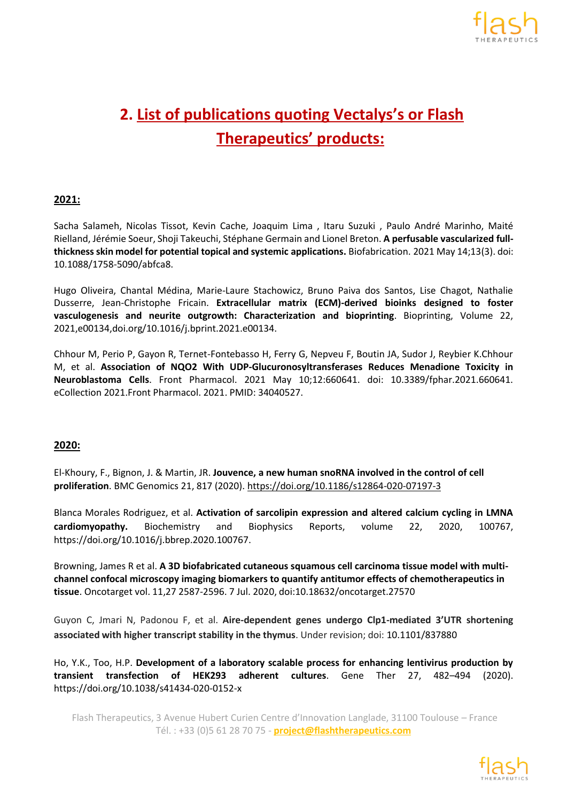

# **2. List of publications quoting Vectalys's or Flash Therapeutics' products:**

# **2021:**

Sacha Salameh, Nicolas Tissot, Kevin Cache, Joaquim Lima , Itaru Suzuki , Paulo André Marinho, Maité Rielland, Jérémie Soeur, Shoji Takeuchi, Stéphane Germain and Lionel Breton. **A perfusable vascularized fullthicknessskin model for potential topical and systemic applications.** Biofabrication. 2021 May 14;13(3). doi: 10.1088/1758-5090/abfca8.

Hugo Oliveira, Chantal Médina, Marie-Laure Stachowicz, Bruno Paiva dos Santos, Lise Chagot, Nathalie Dusserre, Jean-Christophe Fricain. **Extracellular matrix (ECM)-derived bioinks designed to foster vasculogenesis and neurite outgrowth: Characterization and bioprinting**. Bioprinting, Volume 22, 2021,e00134,doi.org/10.1016/j.bprint.2021.e00134.

Chhour M, Perio P, Gayon R, Ternet-Fontebasso H, Ferry G, Nepveu F, Boutin JA, Sudor J, Reybier K.Chhour M, et al. **Association of NQO2 With UDP-Glucuronosyltransferases Reduces Menadione Toxicity in Neuroblastoma Cells**. Front Pharmacol. 2021 May 10;12:660641. doi: 10.3389/fphar.2021.660641. eCollection 2021.Front Pharmacol. 2021. PMID: 34040527.

#### **2020:**

El-Khoury, F., Bignon, J. & Martin, JR. **Jouvence, a new human snoRNA involved in the control of cell proliferation**. BMC Genomics 21, 817 (2020)[. https://doi.org/10.1186/s12864-020-07197-3](https://doi.org/10.1186/s12864-020-07197-3)

Blanca Morales Rodriguez, et al. **Activation of sarcolipin expression and altered calcium cycling in LMNA cardiomyopathy.** Biochemistry and Biophysics Reports, volume 22, 2020, 100767, https://doi.org/10.1016/j.bbrep.2020.100767.

Browning, James R et al. **A 3D biofabricated cutaneous squamous cell carcinoma tissue model with multichannel confocal microscopy imaging biomarkers to quantify antitumor effects of chemotherapeutics in tissue**. Oncotarget vol. 11,27 2587-2596. 7 Jul. 2020, doi:10.18632/oncotarget.27570

Guyon C, Jmari N, Padonou F, et al. **Aire-dependent genes undergo Clp1-mediated 3'UTR shortening associated with higher transcript stability in the thymus**. Under revision; doi: [10.1101/837880](https://doi.org/10.1101/837880)

Ho, Y.K., Too, H.P. **Development of a laboratory scalable process for enhancing lentivirus production by transient transfection of HEK293 adherent cultures**. Gene Ther 27, 482–494 (2020). https://doi.org/10.1038/s41434-020-0152-x

Flash Therapeutics, 3 Avenue Hubert Curien Centre d'Innovation Langlade, 31100 Toulouse – France Tél. : +33 (0)5 61 28 70 75 - **project@flashtherapeutics.com**

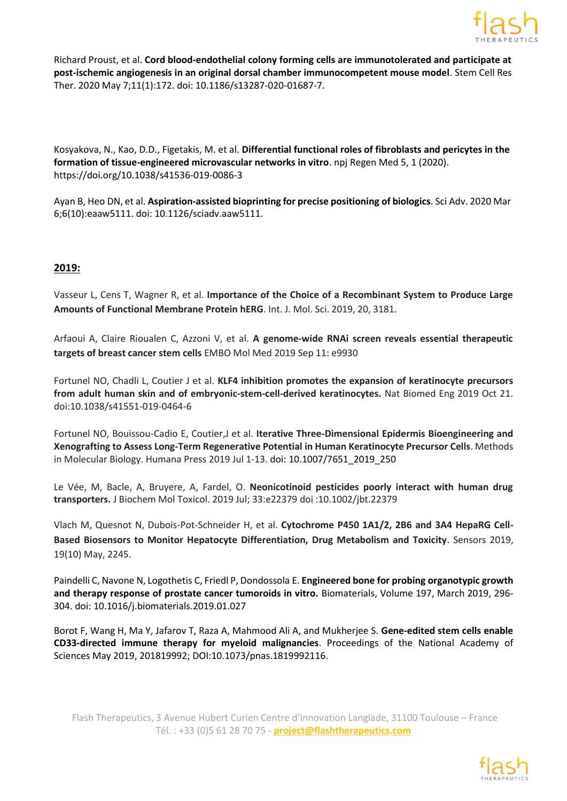

[Richard Proust, e](https://pubmed.ncbi.nlm.nih.gov/?term=Proust%2BR&cauthor_id=32381102)t al. **Cord blood-endothelial colony forming cells are immunotolerated and participate at post-ischemic angiogenesis in an original dorsal chamber immunocompetent mouse model**. Stem Cell Res Ther. 2020 May 7;11(1):172. doi: 10.1186/s13287-020-01687-7.

Kosyakova, N., Kao, D.D., Figetakis, M. et al. **Differential functional roles of fibroblasts and pericytes in the formation of tissue-engineered microvascular networks in vitro**. npj Regen Med 5, 1 (2020). https://doi.org/10.1038/s41536-019-0086-3

Ayan B, Heo DN, et al. **Aspiration-assisted bioprinting for precise positioning of biologics**. Sci Adv. 2020 Mar 6;6(10):eaaw5111. doi: 10.1126/sciadv.aaw5111.

# **2019:**

Vasseur L, Cens T, Wagner R, et al. **Importance of the Choice of a Recombinant System to Produce Large Amounts of Functional Membrane Protein hERG**. Int. J. Mol. Sci. 2019, 20, 3181.

Arfaoui A, Claire Rioualen C, Azzoni V, et al. **A genome‐wide RNAi screen reveals essential therapeutic targets of breast cancer stem cells** EMBO Mol Med 2019 Sep 11: e9930

Fortunel NO, Chadli L, Coutier J et al. **KLF4 inhibition promotes the expansion of keratinocyte precursors from adult human skin and of embryonic-stem-cell-derived keratinocytes.** Nat Biomed Eng 2019 Oct 21. doi:10.1038/s41551-019-0464-6

Fortunel NO, Bouissou-Cadio E, Coutier,J et al. **Iterative Three-Dimensional Epidermis Bioengineering and Xenografting to Assess Long-Term Regenerative Potential in Human Keratinocyte Precursor Cells**. Methods in Molecular Biology. Humana Press 2019 Jul 1-13. [doi: 10.1007/7651\\_2019\\_250](https://doi.org/10.1007/7651_2019_250)

Le Vée, M, Bacle, A, Bruyere, A, Fardel, O. **Neonicotinoid pesticides poorly interact with human drug transporters.** J Biochem Mol Toxicol. 2019 Jul; 33:e22379 doi :10.1002/jbt.22379

Vlach M, Quesnot N, Dubois-Pot-Schneider H, et al. **Cytochrome P450 1A1/2, 2B6 and 3A4 HepaRG Cell-Based Biosensors to Monitor Hepatocyte Differentiation, Drug Metabolism and Toxicity**. Sensors 2019, 19(10) May, 2245.

[Paindelli](https://www.sciencedirect.com/science/article/pii/S0142961219300468?via%3Dihub&!) C, [Navone](https://www.sciencedirect.com/science/article/pii/S0142961219300468?via%3Dihub&!) N, Logothetis C, [Friedl](https://www.sciencedirect.com/science/article/pii/S0142961219300468?via%3Dihub&!) P, [Dondossola](https://www.sciencedirect.com/science/article/pii/S0142961219300468?via%3Dihub&!) E. **Engineered bone for probing organotypic growth and therapy response of prostate cancer tumoroids in vitro.** Biomaterials, Volume 197, March 2019, 296- 304. doi: [10.1016/j.biomaterials.2019.01.027](https://doi.org/10.1016/j.biomaterials.2019.01.027)

Borot F, Wang H, Ma Y, Jafarov T, Raza A, Mahmood Ali A, and Mukherjee S. **Gene-edited stem cells enable CD33-directed immune therapy for myeloid malignancies**. Proceedings of the National Academy of Sciences May 2019, 201819992; DOI:10.1073/pnas.1819992116.

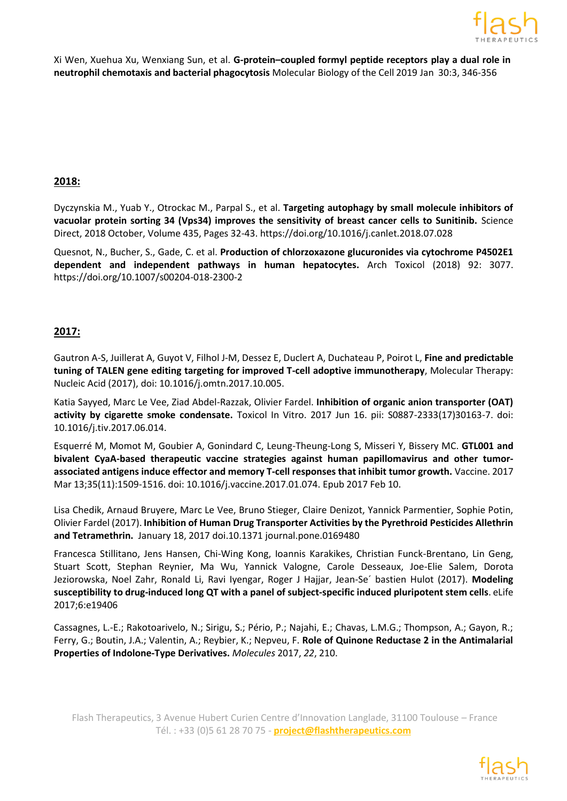

Xi Wen, Xuehua Xu, Wenxiang Sun, et al. **G-protein–coupled formyl peptide receptors play a dual role in neutrophil chemotaxis and bacterial phagocytosis** Molecular Biology of the Cell 2019 Jan 30:3, 346-356

#### **2018:**

Dyczynskia M., Yuab Y., Otrockac M., Parpal S., et al. **Targeting autophagy by small molecule inhibitors of vacuolar protein sorting 34 (Vps34) improves the sensitivity of breast cancer cells to Sunitinib.** Science Direct, 2018 October, Volume 435, Pages 32-43. https://doi.org/10.1016/j.canlet.2018.07.028

Quesnot, N., Bucher, S., Gade, C. et al. **Production of chlorzoxazone glucuronides via cytochrome P4502E1 dependent and independent pathways in human hepatocytes.** Arch Toxicol (2018) 92: 3077. https://doi.org/10.1007/s00204-018-2300-2

#### **2017:**

Gautron A-S, Juillerat A, Guyot V, Filhol J-M, Dessez E, Duclert A, Duchateau P, Poirot L, **Fine and predictable tuning of TALEN gene editing targeting for improved T-cell adoptive immunotherapy**, Molecular Therapy: Nucleic Acid (2017), doi: 10.1016/j.omtn.2017.10.005.

[Katia Sayyed, Marc Le Vee, Ziad Abdel-Razzak, Olivier Fardel.](http://www.sciencedirect.com/science/article/pii/S0887233317301637) **Inhibition of organic anion transporter (OAT) activity by cigarette smoke condensate.** Toxicol In Vitro. 2017 Jun 16. pii: S0887-2333(17)30163-7. doi: 10.1016/j.tiv.2017.06.014.

Esquerré M, Momot M, Goubier A, Gonindard C, Leung-Theung-Long S, Misseri Y, Bissery MC. **GTL001 and bivalent CyaA-based therapeutic vaccine strategies against human papillomavirus and other tumorassociated antigens induce effector and memory T-cell responses that inhibit tumor growth.** Vaccine. 2017 Mar 13;35(11):1509-1516. doi: 10.1016/j.vaccine.2017.01.074. Epub 2017 Feb 10.

Lisa Chedik, Arnaud Bruyere, Marc Le Vee, Bruno Stieger, Claire Denizot, Yannick Parmentier, Sophie Potin, Olivier Fardel (2017). **Inhibition of Human Drug Transporter Activities by the Pyrethroid Pesticides Allethrin and Tetramethrin.** January 18, 2017 doi.10.1371 [journal.pone.0169480](http://dx.doi.org/10.1371/journal.pone.0169480)

Francesca Stillitano, Jens Hansen, Chi-Wing Kong, Ioannis Karakikes, Christian Funck-Brentano, Lin Geng, Stuart Scott, Stephan Reynier, Ma Wu, Yannick Valogne, Carole Desseaux, Joe-Elie Salem, Dorota Jeziorowska, Noel Zahr, Ronald Li, Ravi Iyengar, Roger J Hajjar, Jean-Se´ bastien Hulot (2017). **Modeling susceptibility to drug-induced long QT with a panel of subject-specific induced pluripotent stem cells**. eLife 2017;6:e19406

Cassagnes, L.-E.; Rakotoarivelo, N.; Sirigu, S.; Pério, P.; Najahi, E.; Chavas, L.M.G.; Thompson, A.; Gayon, R.; Ferry, G.; Boutin, J.A.; Valentin, A.; Reybier, K.; Nepveu, F. **Role of Quinone Reductase 2 in the Antimalarial Properties of Indolone-Type Derivatives.** *Molecules* 2017, *22*, 210.

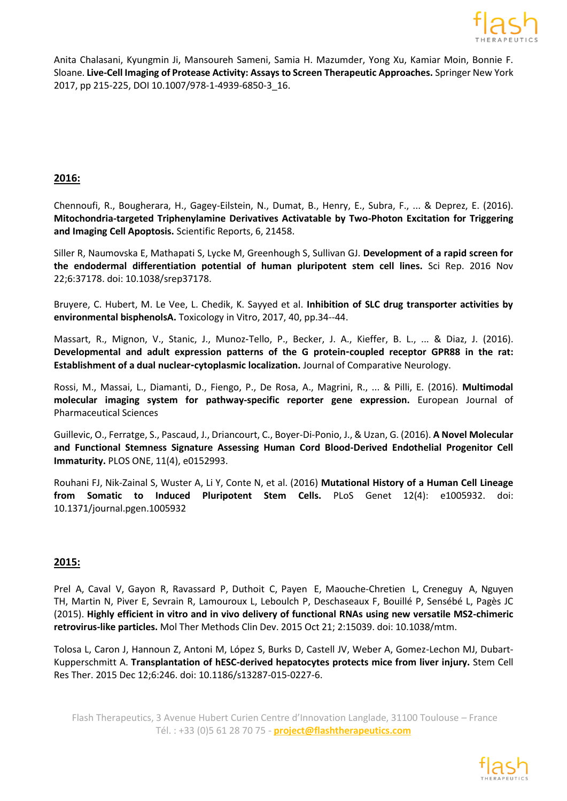

Anita Chalasani, Kyungmin Ji, Mansoureh Sameni, Samia H. Mazumder, Yong Xu, Kamiar Moin, Bonnie F. Sloane. **Live-Cell Imaging of Protease Activity: Assays to Screen Therapeutic Approaches.** Springer New York 2017, pp 215-225, DOI 10.1007/978-1-4939-6850-3\_16.

#### **2016:**

Chennoufi, R., Bougherara, H., Gagey-Eilstein, N., Dumat, B., Henry, E., Subra, F., ... & Deprez, E. (2016). **Mitochondria-targeted Triphenylamine Derivatives Activatable by Two-Photon Excitation for Triggering and Imaging Cell Apoptosis.** Scientific Reports, 6, 21458.

Siller R, Naumovska E, Mathapati S, Lycke M, Greenhough S, Sullivan GJ. **Development of a rapid screen for the endodermal differentiation potential of human pluripotent stem cell lines.** Sci Rep. 2016 Nov 22;6:37178. doi: 10.1038/srep37178.

Bruyere, C. Hubert, M. Le Vee, L. Chedik, K. Sayyed et al. **[Inhibition of SLC drug transporter activities by](https://hal-univ-rennes1.archives-ouvertes.fr/hal-01467545) [environmental](https://hal-univ-rennes1.archives-ouvertes.fr/hal-01467545) bisphenolsA.** Toxicology in Vitro, 2017, 40, pp.34--44.

Massart, R., Mignon, V., Stanic, J., Munoz‐Tello, P., Becker, J. A., Kieffer, B. L., ... & Diaz, J. (2016). **Developmental and adult expression patterns of the G protein‐coupled receptor GPR88 in the rat: Establishment of a dual nuclear‐cytoplasmic localization.** Journal of Comparative Neurology.

Rossi, M., Massai, L., Diamanti, D., Fiengo, P., De Rosa, A., Magrini, R., ... & Pilli, E. (2016). **Multimodal molecular imaging system for pathway-specific reporter gene expression.** European Journal of Pharmaceutical Sciences

Guillevic, O., Ferratge, S., Pascaud, J., Driancourt, C., Boyer-Di-Ponio, J., & Uzan, G. (2016). **A Novel Molecular and Functional Stemness Signature Assessing Human Cord Blood-Derived Endothelial Progenitor Cell Immaturity.** PLOS ONE, 11(4), e0152993.

Rouhani FJ, Nik-Zainal S, Wuster A, Li Y, Conte N, et al. (2016) **Mutational History of a Human Cell Lineage from Somatic to Induced Pluripotent Stem Cells.** PLoS Genet 12(4): e1005932. doi: 10.1371/journal.pgen.1005932

#### **2015:**

[Prel](https://www.ncbi.nlm.nih.gov/pubmed/?term=Prel%20A%5BAuthor%5D&cauthor=true&cauthor_uid=26528487) A, [Caval](https://www.ncbi.nlm.nih.gov/pubmed/?term=Caval%20V%5BAuthor%5D&cauthor=true&cauthor_uid=26528487) V, [Gayon](https://www.ncbi.nlm.nih.gov/pubmed/?term=Gayon%20R%5BAuthor%5D&cauthor=true&cauthor_uid=26528487) R, [Ravassard](https://www.ncbi.nlm.nih.gov/pubmed/?term=Ravassard%20P%5BAuthor%5D&cauthor=true&cauthor_uid=26528487) P, [Duthoit](https://www.ncbi.nlm.nih.gov/pubmed/?term=Duthoit%20C%5BAuthor%5D&cauthor=true&cauthor_uid=26528487) C, [Payen](https://www.ncbi.nlm.nih.gov/pubmed/?term=Payen%20E%5BAuthor%5D&cauthor=true&cauthor_uid=26528487) E, [Maouche-Chretien](https://www.ncbi.nlm.nih.gov/pubmed/?term=Maouche-Chretien%20L%5BAuthor%5D&cauthor=true&cauthor_uid=26528487) L, [Creneguy](https://www.ncbi.nlm.nih.gov/pubmed/?term=Creneguy%20A%5BAuthor%5D&cauthor=true&cauthor_uid=26528487) A, [Nguyen](https://www.ncbi.nlm.nih.gov/pubmed/?term=Nguyen%20TH%5BAuthor%5D&cauthor=true&cauthor_uid=26528487) [TH,](https://www.ncbi.nlm.nih.gov/pubmed/?term=Nguyen%20TH%5BAuthor%5D&cauthor=true&cauthor_uid=26528487) [Martin N,](https://www.ncbi.nlm.nih.gov/pubmed/?term=Martin%20N%5BAuthor%5D&cauthor=true&cauthor_uid=26528487) [Piver E,](https://www.ncbi.nlm.nih.gov/pubmed/?term=Piver%20E%5BAuthor%5D&cauthor=true&cauthor_uid=26528487) [Sevrain R,](https://www.ncbi.nlm.nih.gov/pubmed/?term=Sevrain%20R%5BAuthor%5D&cauthor=true&cauthor_uid=26528487) [Lamouroux L,](https://www.ncbi.nlm.nih.gov/pubmed/?term=Lamouroux%20L%5BAuthor%5D&cauthor=true&cauthor_uid=26528487) [Leboulch P,](https://www.ncbi.nlm.nih.gov/pubmed/?term=Leboulch%20P%5BAuthor%5D&cauthor=true&cauthor_uid=26528487) [Deschaseaux F,](https://www.ncbi.nlm.nih.gov/pubmed/?term=Deschaseaux%20F%5BAuthor%5D&cauthor=true&cauthor_uid=26528487) [Bouillé P,](https://www.ncbi.nlm.nih.gov/pubmed/?term=Bouill%C3%A9%20P%5BAuthor%5D&cauthor=true&cauthor_uid=26528487) [Sensébé L,](https://www.ncbi.nlm.nih.gov/pubmed/?term=Sens%C3%A9b%C3%A9%20L%5BAuthor%5D&cauthor=true&cauthor_uid=26528487) [Pagès JC](https://www.ncbi.nlm.nih.gov/pubmed/?term=Pag%C3%A8s%20JC%5BAuthor%5D&cauthor=true&cauthor_uid=26528487) (2015). **Highly efficient in vitro and in vivo delivery of functional RNAs using new versatile MS2-chimeric retrovirus-like particles.** Mol Ther [Methods](https://www.ncbi.nlm.nih.gov/pubmed/26528487) Clin Dev. 2015 Oct 21; 2:15039. doi: 10.1038/mtm.

Tolosa L, Caron J, Hannoun Z, Antoni M, López S, Burks D, Castell JV, Weber A, Gomez-Lechon MJ, Dubart-Kupperschmitt A. **[Transplantation of hESC-derived hepatocytes protects mice from liver injury.](https://www.ncbi.nlm.nih.gov/pubmed/26652177)** Stem Cell Res Ther. 2015 Dec 12;6:246. doi: 10.1186/s13287-015-0227-6.

Flash Therapeutics, 3 Avenue Hubert Curien Centre d'Innovation Langlade, 31100 Toulouse – France Tél. : +33 (0)5 61 28 70 75 - **project@flashtherapeutics.com**

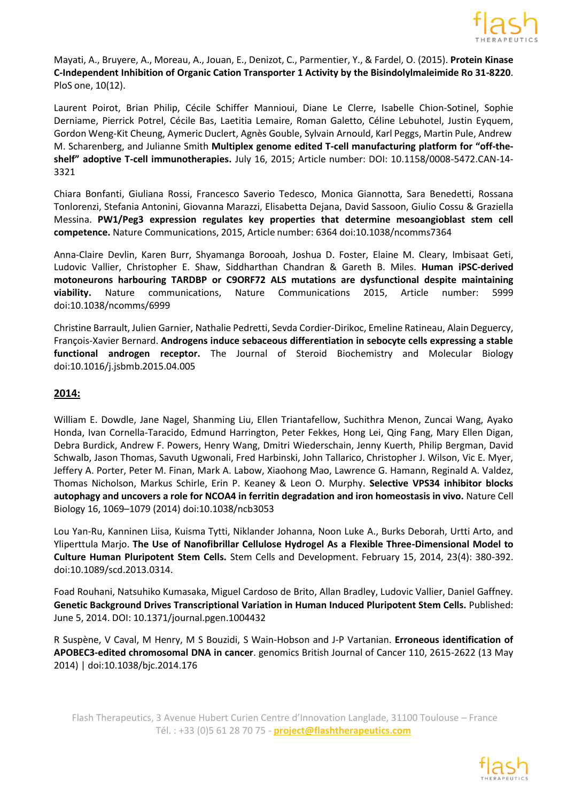

Mayati, A., Bruyere, A., Moreau, A., Jouan, E., Denizot, C., Parmentier, Y., & Fardel, O. (2015). **Protein Kinase C-Independent Inhibition of Organic Cation Transporter 1 Activity by the Bisindolylmaleimide Ro 31-8220**. PloS one, 10(12).

Laurent Poirot, Brian Philip, Cécile Schiffer Mannioui, Diane Le Clerre, Isabelle Chion-Sotinel, Sophie Derniame, Pierrick Potrel, Cécile Bas, Laetitia Lemaire, Roman Galetto, Céline Lebuhotel, Justin Eyquem, Gordon Weng-Kit Cheung, Aymeric Duclert, Agnès Gouble, Sylvain Arnould, Karl Peggs, Martin Pule, Andrew M. Scharenberg, and Julianne Smith **Multiplex genome edited T-cell manufacturing platform for "off-theshelf" adoptive T-cell immunotherapies.** July 16, 2015; Article number: DOI: 10.1158/0008-5472.CAN-14- 3321

[Chiara Bonfanti,](http://www.nature.com/ncomms/2015/150309/ncomms7364/full/ncomms7364.html#auth-1) [Giuliana Rossi,](http://www.nature.com/ncomms/2015/150309/ncomms7364/full/ncomms7364.html#auth-2) [Francesco Saverio Tedesco,](http://www.nature.com/ncomms/2015/150309/ncomms7364/full/ncomms7364.html#auth-3) [Monica Giannotta,](http://www.nature.com/ncomms/2015/150309/ncomms7364/full/ncomms7364.html#auth-4) [Sara Benedetti,](http://www.nature.com/ncomms/2015/150309/ncomms7364/full/ncomms7364.html#auth-5) [Rossana](http://www.nature.com/ncomms/2015/150309/ncomms7364/full/ncomms7364.html#auth-6) [Tonlorenzi,](http://www.nature.com/ncomms/2015/150309/ncomms7364/full/ncomms7364.html#auth-6) [Stefania Antonini,](http://www.nature.com/ncomms/2015/150309/ncomms7364/full/ncomms7364.html#auth-7) [Giovanna Marazzi,](http://www.nature.com/ncomms/2015/150309/ncomms7364/full/ncomms7364.html#auth-8) [Elisabetta Dejana,](http://www.nature.com/ncomms/2015/150309/ncomms7364/full/ncomms7364.html#auth-9) [David Sassoon,](http://www.nature.com/ncomms/2015/150309/ncomms7364/full/ncomms7364.html#auth-10) [Giulio Cossu &](http://www.nature.com/ncomms/2015/150309/ncomms7364/full/ncomms7364.html#auth-11) [Graziella](http://www.nature.com/ncomms/2015/150309/ncomms7364/full/ncomms7364.html#auth-12) [Messina.](http://www.nature.com/ncomms/2015/150309/ncomms7364/full/ncomms7364.html#auth-12) **PW1/Peg3 expression regulates key properties that determine mesoangioblast stem cell competence.** Nature Communications, 2015, Article number: 6364 doi:10.1038/ncomms7364

[Anna-Claire Devlin,](http://www.nature.com/ncomms/2015/150112/ncomms6999/full/ncomms6999.html#auth-1) [Karen Burr,](http://www.nature.com/ncomms/2015/150112/ncomms6999/full/ncomms6999.html#auth-2) [Shyamanga Borooah,](http://www.nature.com/ncomms/2015/150112/ncomms6999/full/ncomms6999.html#auth-3) [Joshua D. Foster,](http://www.nature.com/ncomms/2015/150112/ncomms6999/full/ncomms6999.html#auth-4) [Elaine M. Cleary,](http://www.nature.com/ncomms/2015/150112/ncomms6999/full/ncomms6999.html#auth-5) [Imbisaat Geti,](http://www.nature.com/ncomms/2015/150112/ncomms6999/full/ncomms6999.html#auth-6) [Ludovic](http://www.nature.com/ncomms/2015/150112/ncomms6999/full/ncomms6999.html#auth-7) Vallier, [Christopher](http://www.nature.com/ncomms/2015/150112/ncomms6999/full/ncomms6999.html#auth-8) E. Shaw, [Siddharthan](http://www.nature.com/ncomms/2015/150112/ncomms6999/full/ncomms6999.html#auth-9) Chandran & [Gareth](http://www.nature.com/ncomms/2015/150112/ncomms6999/full/ncomms6999.html#auth-10) B. Miles. **Human iPSC-derived motoneurons harbouring TARDBP or C9ORF72 ALS mutations are dysfunctional despite maintaining viability.** Nature communications, Nature Communications 2015, Article number: 5999 doi:10.1038/ncomms/6999

[Christine](http://www.sciencedirect.com/science/article/pii/S0960076015001028) Barrault, Julien [Garnier,](http://www.sciencedirect.com/science/article/pii/S0960076015001028) Nathalie [Pedretti,](http://www.sciencedirect.com/science/article/pii/S0960076015001028) Sevda [Cordier-Dirikoc,](http://www.sciencedirect.com/science/article/pii/S0960076015001028) Emeline [Ratineau,](http://www.sciencedirect.com/science/article/pii/S0960076015001028) Alain [Deguercy,](http://www.sciencedirect.com/science/article/pii/S0960076015001028) [François-Xavier Bernard.](http://www.sciencedirect.com/science/article/pii/S0960076015001028) **Androgens induce sebaceous differentiation in sebocyte cells expressing a stable functional androgen receptor.** The Journal of Steroid [Biochemistry](http://www.sciencedirect.com/science/journal/09600760) and Molecular Biology doi:10.1016/j.jsbmb.2015.04.005

#### **2014:**

William E. Dowdle, Jane Nagel, Shanming Liu, Ellen Triantafellow, Suchithra Menon, Zuncai Wang, Ayako Honda, Ivan Cornella-Taracido, Edmund Harrington, Peter Fekkes, Hong Lei, Qing Fang, Mary Ellen Digan, Debra Burdick, Andrew F. Powers, Henry Wang, Dmitri Wiederschain, Jenny Kuerth, Philip Bergman, David Schwalb, Jason Thomas, Savuth Ugwonali, Fred Harbinski, John Tallarico, Christopher J. Wilson, Vic E. Myer, Jeffery A. Porter, Peter M. Finan, Mark A. Labow, Xiaohong Mao, Lawrence G. Hamann, Reginald A. Valdez, Thomas Nicholson, Markus Schirle, Erin P. Keaney & Leon O. Murphy. **Selective VPS34 inhibitor blocks autophagy and uncovers a role for NCOA4 in ferritin degradation and iron homeostasis in vivo.** Nature Cell Biology 16, 1069–1079 (2014) doi:10.1038/ncb3053

Lou Yan-Ru, Kanninen Liisa, Kuisma Tytti, Niklander Johanna, Noon Luke A., Burks Deborah, Urtti Arto, and Yliperttula Marjo. **The Use of Nanofibrillar Cellulose Hydrogel As a Flexible Three-Dimensional Model to Culture Human Pluripotent Stem Cells.** Stem Cells and Development. February 15, 2014, 23(4): 380-392. doi:10.1089/scd.2013.0314.

Foad Rouhani, Natsuhiko Kumasaka, Miguel Cardoso de Brito, Allan Bradley, Ludovic Vallier, Daniel Gaffney. **Genetic Background Drives Transcriptional Variation in Human Induced Pluripotent Stem Cells.** Published: June 5, 2014. DOI: 10.1371/journal.pgen.1004432

R Suspène, V Caval, M Henry, M S Bouzidi, S Wain-Hobson and J-P Vartanian. **Erroneous identification of APOBEC3-edited chromosomal DNA in cancer**. genomics British Journal of Cancer 110, 2615-2622 (13 May 2014) | doi:10.1038/bjc.2014.176

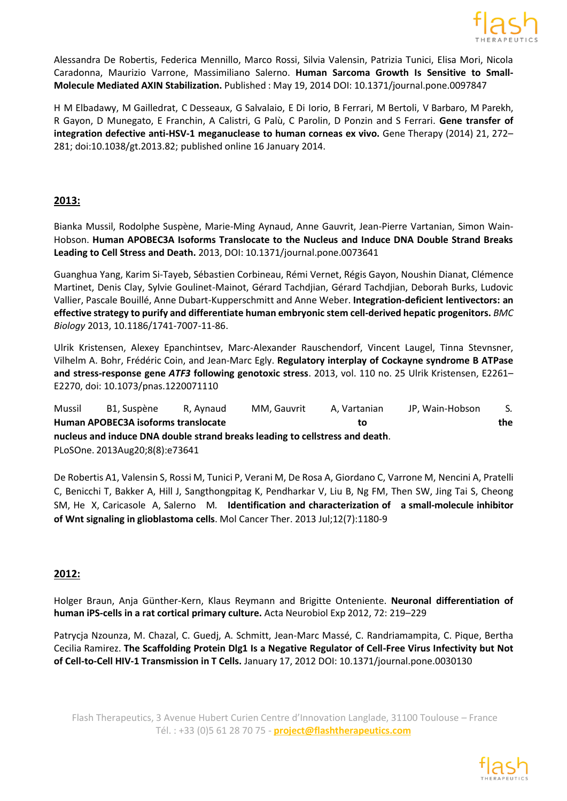

Alessandra De Robertis, Federica Mennillo, Marco Rossi, Silvia Valensin, Patrizia Tunici, Elisa Mori, Nicola Caradonna, Maurizio Varrone, Massimiliano Salerno. **Human Sarcoma Growth Is Sensitive to Small-Molecule Mediated AXIN Stabilization.** Published : May 19, 2014 DOI: 10.1371/journal.pone.0097847

H M Elbadawy, M Gailledrat, C Desseaux, G Salvalaio, E Di Iorio, B Ferrari, M Bertoli, V Barbaro, M Parekh, R Gayon, D Munegato, E Franchin, A Calistri, G Palù, C Parolin, D Ponzin and S Ferrari. **Gene transfer of integration defective anti-HSV-1 meganuclease to human corneas ex vivo.** Gene Therapy (2014) 21, 272– 281; doi:10.1038/gt.2013.82; published online 16 January 2014.

# **2013:**

Bianka Mussil, Rodolphe Suspène, Marie-Ming Aynaud, Anne Gauvrit, Jean-Pierre Vartanian, Simon Wain-Hobson. **Human APOBEC3A Isoforms Translocate to the Nucleus and Induce DNA Double Strand Breaks Leading to Cell Stress and Death.** 2013, DOI: 10.1371/journal.pone.0073641

Guanghua Yang, Karim Si-Tayeb, Sébastien Corbineau, Rémi Vernet, Régis Gayon, Noushin Dianat, Clémence Martinet, Denis Clay, Sylvie Goulinet-Mainot, Gérard Tachdjian, Gérard Tachdjian, Deborah Burks, Ludovic Vallier, Pascale Bouillé, Anne Dubart-Kupperschmitt and Anne Weber. **Integration-deficient lentivectors: an effective strategy to purify and differentiate human embryonic stem cell-derived hepatic progenitors.** *BMC Biology* 2013, 10.1186/1741-7007-11-86.

Ulrik Kristensen, Alexey Epanchintsev, [Marc-Alexander](http://www.pnas.org/search?author1=Marc-Alexander%2BRauschendorf&sortspec=date&submit=Submit) Rauschendorf, [Vincent](http://www.pnas.org/search?author1=Vincent%2BLaugel&sortspec=date&submit=Submit) Laugel, Tinna [Stevnsner,](http://www.pnas.org/search?author1=Tinna%2BStevnsner&sortspec=date&submit=Submit) [Vilhelm A. Bohr,](http://www.pnas.org/search?author1=Vilhelm%2BA.%2BBohr&sortspec=date&submit=Submit) [Frédéric Coin, a](http://www.pnas.org/search?author1=Fr%C3%A9d%C3%A9ric%2BCoin&sortspec=date&submit=Submit)nd [Jean-Marc Egly.](http://www.pnas.org/search?author1=Jean-Marc%2BEgly&sortspec=date&submit=Submit) **Regulatory interplay of Cockayne syndrome B ATPase and stress-response gene** *ATF3* **following genotoxic stress**. 2013, vol. 110 no. 25 Ulrik Kristensen, E2261– E2270, doi: 10.1073/pnas.1220071110

[Mussil](http://www.ncbi.nlm.nih.gov/pubmed?term=Mussil%20B%5BAuthor%5D&cauthor=true&cauthor_uid=23977391) B1, [Suspène](http://www.ncbi.nlm.nih.gov/pubmed?term=Susp%C3%A8ne%20R%5BAuthor%5D&cauthor=true&cauthor_uid=23977391) R, [Aynaud](http://www.ncbi.nlm.nih.gov/pubmed?term=Aynaud%20MM%5BAuthor%5D&cauthor=true&cauthor_uid=23977391) MM, [Gauvrit](http://www.ncbi.nlm.nih.gov/pubmed?term=Gauvrit%20A%5BAuthor%5D&cauthor=true&cauthor_uid=23977391) A, [Vartanian](http://www.ncbi.nlm.nih.gov/pubmed?term=Vartanian%20JP%5BAuthor%5D&cauthor=true&cauthor_uid=23977391) JP, [Wain-Hobson](http://www.ncbi.nlm.nih.gov/pubmed?term=Wain-Hobson%20S%5BAuthor%5D&cauthor=true&cauthor_uid=23977391) S*.* **Human APOBEC3A isoforms translocate to the nucleus and induce DNA double strand breaks leading to cellstress and death**. [PLoSOne.](http://www.ncbi.nlm.nih.gov/pubmed/?term=Human%2BAPOBEC3A%2BIsoforms%2BTranslocate%2Bto%2Bthe%2BNucleus%2Band%2BInduce%2BDNA%2BDouble%2BStrand%2BBreaks%2BLeading%2Bto%2BCell%2BStress%2Band%2BDeath) 2013Aug20;8(8):e73641

De [Robertis](http://www.ncbi.nlm.nih.gov/pubmed?term=De%20Robertis%20A%5BAuthor%5D&cauthor=true&cauthor_uid=23619303) A1, [Valensin](http://www.ncbi.nlm.nih.gov/pubmed?term=Valensin%20S%5BAuthor%5D&cauthor=true&cauthor_uid=23619303) S, [Rossi](http://www.ncbi.nlm.nih.gov/pubmed?term=Rossi%20M%5BAuthor%5D&cauthor=true&cauthor_uid=23619303) M, [Tunici](http://www.ncbi.nlm.nih.gov/pubmed?term=Tunici%20P%5BAuthor%5D&cauthor=true&cauthor_uid=23619303) P, [Verani](http://www.ncbi.nlm.nih.gov/pubmed?term=Verani%20M%5BAuthor%5D&cauthor=true&cauthor_uid=23619303) M, De [Rosa](http://www.ncbi.nlm.nih.gov/pubmed?term=De%20Rosa%20A%5BAuthor%5D&cauthor=true&cauthor_uid=23619303) A, [Giordano](http://www.ncbi.nlm.nih.gov/pubmed?term=Giordano%20C%5BAuthor%5D&cauthor=true&cauthor_uid=23619303) C, [Varrone](http://www.ncbi.nlm.nih.gov/pubmed?term=Varrone%20M%5BAuthor%5D&cauthor=true&cauthor_uid=23619303) M[, Nencini](http://www.ncbi.nlm.nih.gov/pubmed?term=Nencini%20A%5BAuthor%5D&cauthor=true&cauthor_uid=23619303) A, [Pratelli](http://www.ncbi.nlm.nih.gov/pubmed?term=Pratelli%20C%5BAuthor%5D&cauthor=true&cauthor_uid=23619303) [C,](http://www.ncbi.nlm.nih.gov/pubmed?term=Pratelli%20C%5BAuthor%5D&cauthor=true&cauthor_uid=23619303) [Benicchi T,](http://www.ncbi.nlm.nih.gov/pubmed?term=Benicchi%20T%5BAuthor%5D&cauthor=true&cauthor_uid=23619303) [Bakker A,](http://www.ncbi.nlm.nih.gov/pubmed?term=Bakker%20A%5BAuthor%5D&cauthor=true&cauthor_uid=23619303) [Hill J,](http://www.ncbi.nlm.nih.gov/pubmed?term=Hill%20J%5BAuthor%5D&cauthor=true&cauthor_uid=23619303) [Sangthongpitag K,](http://www.ncbi.nlm.nih.gov/pubmed?term=Sangthongpitag%20K%5BAuthor%5D&cauthor=true&cauthor_uid=23619303) [Pendharkar V,](http://www.ncbi.nlm.nih.gov/pubmed?term=Pendharkar%20V%5BAuthor%5D&cauthor=true&cauthor_uid=23619303) [Liu B,](http://www.ncbi.nlm.nih.gov/pubmed?term=Liu%20B%5BAuthor%5D&cauthor=true&cauthor_uid=23619303) [Ng FM,](http://www.ncbi.nlm.nih.gov/pubmed?term=Ng%20FM%5BAuthor%5D&cauthor=true&cauthor_uid=23619303) [Then SW,](http://www.ncbi.nlm.nih.gov/pubmed?term=Then%20SW%5BAuthor%5D&cauthor=true&cauthor_uid=23619303) [Jing Tai S,](http://www.ncbi.nlm.nih.gov/pubmed?term=Jing%20Tai%20S%5BAuthor%5D&cauthor=true&cauthor_uid=23619303) [Cheong](http://www.ncbi.nlm.nih.gov/pubmed?term=Cheong%20SM%5BAuthor%5D&cauthor=true&cauthor_uid=23619303) [SM,](http://www.ncbi.nlm.nih.gov/pubmed?term=Cheong%20SM%5BAuthor%5D&cauthor=true&cauthor_uid=23619303) [He](http://www.ncbi.nlm.nih.gov/pubmed?term=He%20X%5BAuthor%5D&cauthor=true&cauthor_uid=23619303) X, [Caricasole](http://www.ncbi.nlm.nih.gov/pubmed?term=Caricasole%20A%5BAuthor%5D&cauthor=true&cauthor_uid=23619303) A, [Salerno M](http://www.ncbi.nlm.nih.gov/pubmed?term=Salerno%20M%5BAuthor%5D&cauthor=true&cauthor_uid=23619303)*.* **Identification and characterization of a small-molecule inhibitor of Wnt signaling in glioblastoma cells**. [Mol Cancer Ther.](http://www.ncbi.nlm.nih.gov/pubmed/?term=Identification%2Band%2Bcharacterization%2Bof%2Bsmall%2Bmolecule%2Binbitor%2Bof%2BWnt) 2013 Jul;12(7):1180-9

# **2012:**

Holger Braun, Anja Günther-Kern, Klaus Reymann and Brigitte Onteniente. **Neuronal differentiation of human iPS-cells in a rat cortical primary culture.** Acta Neurobiol Exp 2012, 72: 219–229

Patrycja Nzounza, M. Chazal, C. Guedj, A. Schmitt, Jean-Marc Massé, C. Randriamampita, C. Pique, Bertha Cecilia Ramirez. **The Scaffolding Protein Dlg1 Is a Negative Regulator of Cell-Free Virus Infectivity but Not of Cell-to-Cell HIV-1 Transmission in T Cells.** January 17, 2012 DOI: 10.1371/journal.pone.0030130

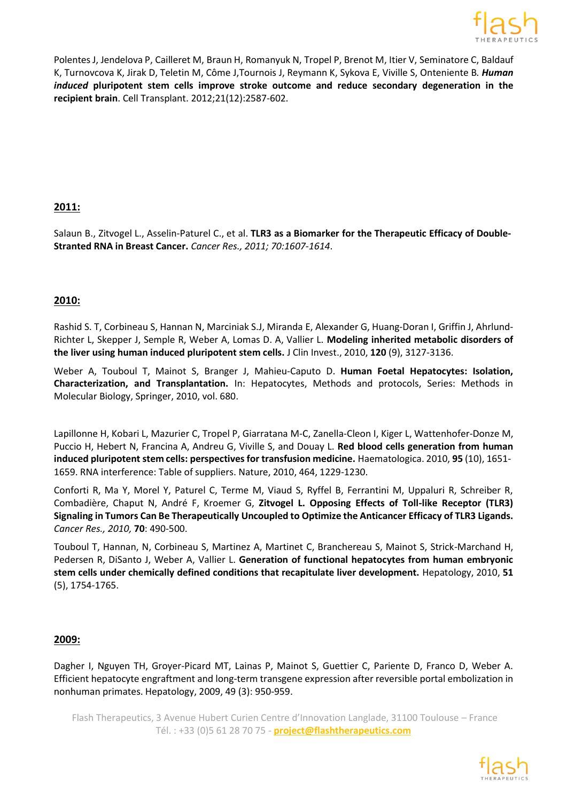

[Polentes](http://www.ncbi.nlm.nih.gov/pubmed?term=Polentes%20J%5BAuthor%5D&cauthor=true&cauthor_uid=22889472) J, [Jendelova](http://www.ncbi.nlm.nih.gov/pubmed?term=Jendelova%20P%5BAuthor%5D&cauthor=true&cauthor_uid=22889472) P, [Cailleret](http://www.ncbi.nlm.nih.gov/pubmed?term=Cailleret%20M%5BAuthor%5D&cauthor=true&cauthor_uid=22889472) M[, Braun](http://www.ncbi.nlm.nih.gov/pubmed?term=Braun%20H%5BAuthor%5D&cauthor=true&cauthor_uid=22889472) H[, Romanyuk](http://www.ncbi.nlm.nih.gov/pubmed?term=Romanyuk%20N%5BAuthor%5D&cauthor=true&cauthor_uid=22889472) N[, Tropel](http://www.ncbi.nlm.nih.gov/pubmed?term=Tropel%20P%5BAuthor%5D&cauthor=true&cauthor_uid=22889472) P, [Brenot](http://www.ncbi.nlm.nih.gov/pubmed?term=Brenot%20M%5BAuthor%5D&cauthor=true&cauthor_uid=22889472) M[, Itier](http://www.ncbi.nlm.nih.gov/pubmed?term=Itier%20V%5BAuthor%5D&cauthor=true&cauthor_uid=22889472) V[, Seminatore](http://www.ncbi.nlm.nih.gov/pubmed?term=Seminatore%20C%5BAuthor%5D&cauthor=true&cauthor_uid=22889472) C, [Baldauf](http://www.ncbi.nlm.nih.gov/pubmed?term=Baldauf%20K%5BAuthor%5D&cauthor=true&cauthor_uid=22889472) [K,](http://www.ncbi.nlm.nih.gov/pubmed?term=Baldauf%20K%5BAuthor%5D&cauthor=true&cauthor_uid=22889472) [Turnovcova K,](http://www.ncbi.nlm.nih.gov/pubmed?term=Turnovcova%20K%5BAuthor%5D&cauthor=true&cauthor_uid=22889472) [Jirak D,](http://www.ncbi.nlm.nih.gov/pubmed?term=Jirak%20D%5BAuthor%5D&cauthor=true&cauthor_uid=22889472) [Teletin M,](http://www.ncbi.nlm.nih.gov/pubmed?term=Teletin%20M%5BAuthor%5D&cauthor=true&cauthor_uid=22889472) [Côme J](http://www.ncbi.nlm.nih.gov/pubmed?term=C%C3%B4me%20J%5BAuthor%5D&cauthor=true&cauthor_uid=22889472)[,Tournois J,](http://www.ncbi.nlm.nih.gov/pubmed?term=Tournois%20J%5BAuthor%5D&cauthor=true&cauthor_uid=22889472) [Reymann K,](http://www.ncbi.nlm.nih.gov/pubmed?term=Reymann%20K%5BAuthor%5D&cauthor=true&cauthor_uid=22889472) [Sykova E,](http://www.ncbi.nlm.nih.gov/pubmed?term=Sykova%20E%5BAuthor%5D&cauthor=true&cauthor_uid=22889472) [Viville S,](http://www.ncbi.nlm.nih.gov/pubmed?term=Viville%20S%5BAuthor%5D&cauthor=true&cauthor_uid=22889472) [Onteniente B](http://www.ncbi.nlm.nih.gov/pubmed?term=Onteniente%20B%5BAuthor%5D&cauthor=true&cauthor_uid=22889472)*. Human induced* **pluripotent stem cells improve stroke outcome and reduce secondary degeneration in the recipient brain**. [Cell Transplant. 2](http://www.ncbi.nlm.nih.gov/pubmed/22889472)012;21(12):2587-602.

# **2011:**

Salaun B., Zitvogel L., Asselin-Paturel C., et al. **TLR3 as a Biomarker for the Therapeutic Efficacy of Double-Stranted RNA in Breast Cancer.** *Cancer Res., 2011; 70:1607-1614*.

# **2010:**

Rashid S. T, Corbineau S, Hannan N, Marciniak S.J, Miranda E, Alexander G, Huang-Doran I, Griffin J, Ahrlund-Richter L, Skepper J, Semple R, Weber A, Lomas D. A, Vallier L. **Modeling inherited metabolic disorders of the liver using human induced pluripotent stem cells.** J Clin Invest., 2010, **120** (9), 3127-3136.

Weber A, Touboul T, Mainot S, Branger J, Mahieu-Caputo D. **Human Foetal Hepatocytes: Isolation, Characterization, and Transplantation.** In: Hepatocytes, Methods and protocols, Series: Methods in Molecular Biology, Springer, 2010, vol. 680.

Lapillonne H, Kobari L, Mazurier C, Tropel P, Giarratana M-C, Zanella-Cleon I, Kiger L, Wattenhofer-Donze M, Puccio H, Hebert N, Francina A, Andreu G, Viville S, and Douay L. **Red blood cells generation from human induced pluripotent stem cells: perspectives for transfusion medicine.** Haematologica. 2010, **95** (10), 1651- 1659. RNA interference: Table of suppliers. Nature, 2010, 464, 1229-1230.

Conforti R, Ma Y, Morel Y, Paturel C, Terme M, Viaud S, Ryffel B, Ferrantini M, Uppaluri R, Schreiber R, Combadière, Chaput N, André F, Kroemer G, **Zitvogel L. Opposing Effects of Toll-like Receptor (TLR3) Signaling in Tumors Can Be Therapeutically Uncoupled to Optimize the Anticancer Efficacy of TLR3 Ligands.** *Cancer Res., 2010,* **70**: 490-500.

Touboul T, Hannan, N, Corbineau S, Martinez A, Martinet C, Branchereau S, Mainot S, Strick-Marchand H, Pedersen R, DiSanto J, Weber A, Vallier L. **Generation of functional hepatocytes from human embryonic stem cells under chemically defined conditions that recapitulate liver development.** Hepatology, 2010, **51** (5), 1754-1765.

#### **2009:**

Dagher I, Nguyen TH, Groyer-Picard MT, Lainas P, Mainot S, Guettier C, Pariente D, Franco D, Weber A. Efficient hepatocyte engraftment and long-term transgene expression after reversible portal embolization in nonhuman primates. Hepatology, 2009, 49 (3): 950-959.

Flash Therapeutics, 3 Avenue Hubert Curien Centre d'Innovation Langlade, 31100 Toulouse – France Tél. : +33 (0)5 61 28 70 75 - **project@flashtherapeutics.com**